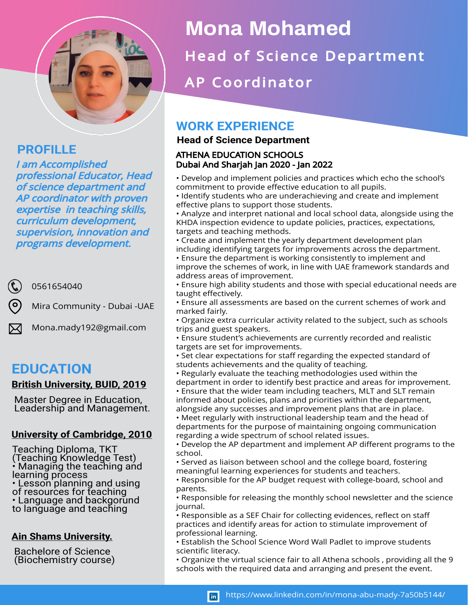

# **PROFILLE**

I am Accomplished professional Educator, Head of science department and AP coordinator with proven expertise in teaching skills, curriculum development, supervision, innovation and programs development.

0561654040

Mira Community - Dubai -UAE

Mona.mady192@gmail.com

# **EDUCATION**

## **British University, BUID, 2019**

Master Degree in Education, Leadership and Management.

## **University of Cambridge, 2010**

- Teaching Diploma, TKT (Teaching Knowledge Test) • Managing the teaching and learning process
- Lesson planning and using of resources for teaching
- Language and backgorund
- to language and teaching

## **Ain Shams University.**

Bachelore of Science (Biochemistry course)

# **Mona Mohamed**

Head of Science Department

AP Coordinator

# **WORK EXPERIENCE**

## **Head of Science Department**

#### ATHENA EDUCATION SCHOOLS Dubai And Sharjah Jan 2020 - Jan 2022

• Develop and implement policies and practices which echo the school's commitment to provide effective education to all pupils.

• Identify students who are underachieving and create and implement effective plans to support those students.

• Analyze and interpret national and local school data, alongside using the KHDA inspection evidence to update policies, practices, expectations, targets and teaching methods.

- Create and implement the yearly department development plan including identifying targets for improvements across the department.
- Ensure the department is working consistently to implement and improve the schemes of work, in line with UAE framework standards and address areas of improvement.
- Ensure high ability students and those with special educational needs are taught effectively.
- Ensure all assessments are based on the current schemes of work and marked fairly.
- Organize extra curricular activity related to the subject, such as schools trips and guest speakers.
- Ensure student's achievements are currently recorded and realistic targets are set for improvements.
- Set clear expectations for staff regarding the expected standard of
- students achievements and the quality of teaching.
- Regularly evaluate the teaching methodologies used within the department in order to identify best practice and areas for improvement.
- Ensure that the wider team including teachers, MLT and SLT remain informed about policies, plans and priorities within the department, alongside any successes and improvement plans that are in place.
- Meet regularly with instructional leadership team and the head of departments for the purpose of maintaining ongoing communication regarding a wide spectrum of school related issues.
- Develop the AP department and implement AP different programs to the school.
- Served as liaison between school and the college board, fostering meaningful learning experiences for students and teachers.
- Responsible for the AP budget request with college-board, school and parents.
- Responsible for releasing the monthly school newsletter and the science journal.
- Responsible as a SEF Chair for collecting evidences, reflect on staff practices and identify areas for action to stimulate improvement of professional learning.
- Establish the School Science Word Wall Padlet to improve students scientific literacy.
- Organize the virtual science fair to all Athena schools , providing all the 9 schools with the required data and arranging and present the event.